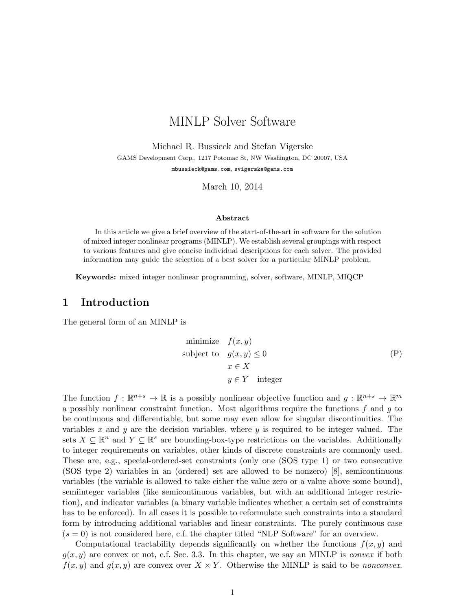# MINLP Solver Software

Michael R. Bussieck and Stefan Vigerske GAMS Development Corp., 1217 Potomac St, NW Washington, DC 20007, USA <mbussieck@gams.com>, <svigerske@gams.com>

March 10, 2014

#### Abstract

In this article we give a brief overview of the start-of-the-art in software for the solution of mixed integer nonlinear programs (MINLP). We establish several groupings with respect to various features and give concise individual descriptions for each solver. The provided information may guide the selection of a best solver for a particular MINLP problem.

Keywords: mixed integer nonlinear programming, solver, software, MINLP, MIQCP

# 1 Introduction

The general form of an MINLP is

<span id="page-0-0"></span>minimize 
$$
f(x, y)
$$
  
\nsubject to  $g(x, y) \le 0$   
\n $x \in X$   
\n $y \in Y$  integer

The function  $f: \mathbb{R}^{n+s} \to \mathbb{R}$  is a possibly nonlinear objective function and  $g: \mathbb{R}^{n+s} \to \mathbb{R}^m$ a possibly nonlinear constraint function. Most algorithms require the functions  $f$  and  $g$  to be continuous and differentiable, but some may even allow for singular discontinuities. The variables x and y are the decision variables, where y is required to be integer valued. The sets  $X \subseteq \mathbb{R}^n$  and  $Y \subseteq \mathbb{R}^s$  are bounding-box-type restrictions on the variables. Additionally to integer requirements on variables, other kinds of discrete constraints are commonly used. These are, e.g., special-ordered-set constraints (only one (SOS type 1) or two consecutive (SOS type 2) variables in an (ordered) set are allowed to be nonzero) [\[8\]](#page-11-0), semicontinuous variables (the variable is allowed to take either the value zero or a value above some bound), semiinteger variables (like semicontinuous variables, but with an additional integer restriction), and indicator variables (a binary variable indicates whether a certain set of constraints has to be enforced). In all cases it is possible to reformulate such constraints into a standard form by introducing additional variables and linear constraints. The purely continuous case  $(s = 0)$  is not considered here, c.f. the chapter titled "NLP Software" for an overview.

Computational tractability depends significantly on whether the functions  $f(x, y)$  and  $g(x, y)$  are convex or not, c.f. Sec. 3.3. In this chapter, we say an MINLP is *convex* if both  $f(x, y)$  and  $g(x, y)$  are convex over  $X \times Y$ . Otherwise the MINLP is said to be *nonconvex*.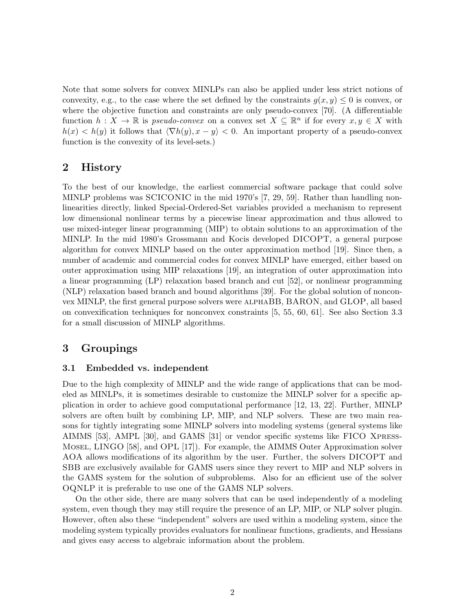Note that some solvers for convex MINLPs can also be applied under less strict notions of convexity, e.g., to the case where the set defined by the constraints  $g(x, y) \leq 0$  is convex, or where the objective function and constraints are only pseudo-convex [\[70\]](#page-15-0). (A differentiable function  $h: X \to \mathbb{R}$  is pseudo-convex on a convex set  $X \subseteq \mathbb{R}^n$  if for every  $x, y \in X$  with  $h(x) < h(y)$  it follows that  $\langle \nabla h(y), x - y \rangle < 0$ . An important property of a pseudo-convex function is the convexity of its level-sets.)

### 2 History

To the best of our knowledge, the earliest commercial software package that could solve MINLP problems was SCICONIC in the mid 1970's [\[7,](#page-11-1) [29,](#page-12-0) [59\]](#page-14-0). Rather than handling nonlinearities directly, linked Special-Ordered-Set variables provided a mechanism to represent low dimensional nonlinear terms by a piecewise linear approximation and thus allowed to use mixed-integer linear programming (MIP) to obtain solutions to an approximation of the MINLP. In the mid 1980's Grossmann and Kocis developed DICOPT, a general purpose algorithm for convex MINLP based on the outer approximation method [\[19\]](#page-12-1). Since then, a number of academic and commercial codes for convex MINLP have emerged, either based on outer approximation using MIP relaxations [\[19\]](#page-12-1), an integration of outer approximation into a linear programming (LP) relaxation based branch and cut [\[52\]](#page-14-1), or nonlinear programming (NLP) relaxation based branch and bound algorithms [\[39\]](#page-13-0). For the global solution of nonconvex MINLP, the first general purpose solvers were alphaBB, BARON, and GLOP, all based on convexification techniques for nonconvex constraints [\[5,](#page-11-2) [55,](#page-14-2) [60,](#page-15-1) [61\]](#page-15-2). See also Section [3.3](#page-2-0) for a small discussion of MINLP algorithms.

# 3 Groupings

### 3.1 Embedded vs. independent

Due to the high complexity of MINLP and the wide range of applications that can be modeled as MINLPs, it is sometimes desirable to customize the MINLP solver for a specific application in order to achieve good computational performance [\[12,](#page-11-3) [13,](#page-11-4) [22\]](#page-12-2). Further, MINLP solvers are often built by combining LP, MIP, and NLP solvers. These are two main reasons for tightly integrating some MINLP solvers into modeling systems (general systems like AIMMS [\[53\]](#page-14-3), AMPL [\[30\]](#page-12-3), and GAMS [\[31\]](#page-13-1) or vendor specific systems like FICO Xpress-Mosel, LINGO [\[58\]](#page-14-4), and OPL [\[17\]](#page-12-4)). For example, the AIMMS Outer Approximation solver AOA allows modifications of its algorithm by the user. Further, the solvers DICOPT and SBB are exclusively available for GAMS users since they revert to MIP and NLP solvers in the GAMS system for the solution of subproblems. Also for an efficient use of the solver OQNLP it is preferable to use one of the GAMS NLP solvers.

On the other side, there are many solvers that can be used independently of a modeling system, even though they may still require the presence of an LP, MIP, or NLP solver plugin. However, often also these "independent" solvers are used within a modeling system, since the modeling system typically provides evaluators for nonlinear functions, gradients, and Hessians and gives easy access to algebraic information about the problem.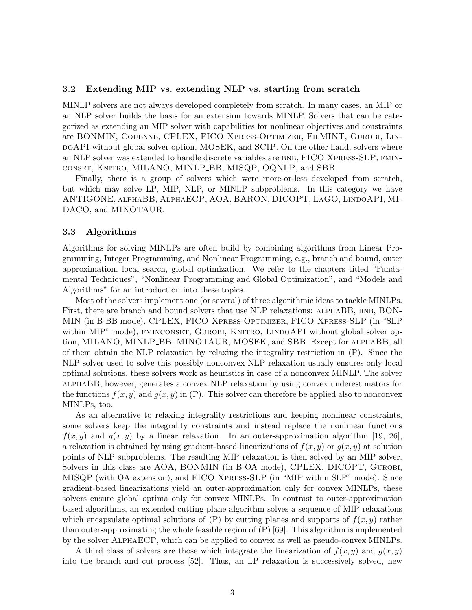#### 3.2 Extending MIP vs. extending NLP vs. starting from scratch

MINLP solvers are not always developed completely from scratch. In many cases, an MIP or an NLP solver builds the basis for an extension towards MINLP. Solvers that can be categorized as extending an MIP solver with capabilities for nonlinear objectives and constraints are BONMIN, Couenne, CPLEX, FICO Xpress-Optimizer, FilMINT, Gurobi, Lin- $\text{poAPI}$  without global solver option, MOSEK, and SCIP. On the other hand, solvers where an NLP solver was extended to handle discrete variables are BNB, FICO XPRESS-SLP, FMINconset, Knitro, MILANO, MINLP BB, MISQP, OQNLP, and SBB.

Finally, there is a group of solvers which were more-or-less developed from scratch, but which may solve LP, MIP, NLP, or MINLP subproblems. In this category we have ANTIGONE, alphaBB, AlphaECP, AOA, BARON, DICOPT, LaGO, LindoAPI, MI-DACO, and MINOTAUR.

#### <span id="page-2-0"></span>3.3 Algorithms

Algorithms for solving MINLPs are often build by combining algorithms from Linear Programming, Integer Programming, and Nonlinear Programming, e.g., branch and bound, outer approximation, local search, global optimization. We refer to the chapters titled "Fundamental Techniques", "Nonlinear Programming and Global Optimization", and "Models and Algorithms" for an introduction into these topics.

Most of the solvers implement one (or several) of three algorithmic ideas to tackle MINLPs. First, there are branch and bound solvers that use NLP relaxations: ALPHABB, BNB, BON-MIN (in B-BB mode), CPLEX, FICO Xpress-Optimizer, FICO Xpress-SLP (in "SLP within MIP" mode), FMINCONSET, GUROBI, KNITRO, LINDOAPI without global solver option, MILANO, MINLP BB, MINOTAUR, MOSEK, and SBB. Except for alphaBB, all of them obtain the NLP relaxation by relaxing the integrality restriction in [\(P\)](#page-0-0). Since the NLP solver used to solve this possibly nonconvex NLP relaxation usually ensures only local optimal solutions, these solvers work as heuristics in case of a nonconvex MINLP. The solver alphaBB, however, generates a convex NLP relaxation by using convex underestimators for the functions  $f(x, y)$  and  $g(x, y)$  in [\(P\)](#page-0-0). This solver can therefore be applied also to nonconvex MINLPs, too.

As an alternative to relaxing integrality restrictions and keeping nonlinear constraints, some solvers keep the integrality constraints and instead replace the nonlinear functions  $f(x, y)$  and  $g(x, y)$  by a linear relaxation. In an outer-approximation algorithm [\[19,](#page-12-1) [26\]](#page-12-5), a relaxation is obtained by using gradient-based linearizations of  $f(x, y)$  or  $g(x, y)$  at solution points of NLP subproblems. The resulting MIP relaxation is then solved by an MIP solver. Solvers in this class are AOA, BONMIN (in B-OA mode), CPLEX, DICOPT, Gurobi, MISQP (with OA extension), and FICO Xpress-SLP (in "MIP within SLP" mode). Since gradient-based linearizations yield an outer-approximation only for convex MINLPs, these solvers ensure global optima only for convex MINLPs. In contrast to outer-approximation based algorithms, an extended cutting plane algorithm solves a sequence of MIP relaxations which encapsulate optimal solutions of  $(P)$  by cutting planes and supports of  $f(x, y)$  rather than outer-approximating the whole feasible region of [\(P\)](#page-0-0) [\[69\]](#page-15-3). This algorithm is implemented by the solver AlphaECP, which can be applied to convex as well as pseudo-convex MINLPs.

A third class of solvers are those which integrate the linearization of  $f(x, y)$  and  $g(x, y)$ into the branch and cut process [\[52\]](#page-14-1). Thus, an LP relaxation is successively solved, new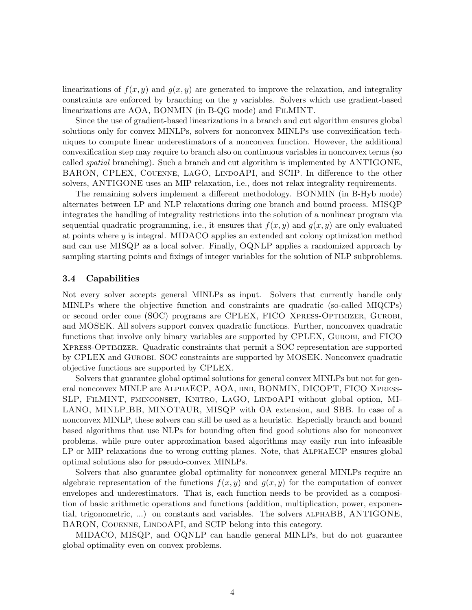linearizations of  $f(x, y)$  and  $g(x, y)$  are generated to improve the relaxation, and integrality constraints are enforced by branching on the y variables. Solvers which use gradient-based linearizations are AOA, BONMIN (in B-QG mode) and FilMINT.

Since the use of gradient-based linearizations in a branch and cut algorithm ensures global solutions only for convex MINLPs, solvers for nonconvex MINLPs use convexification techniques to compute linear underestimators of a nonconvex function. However, the additional convexification step may require to branch also on continuous variables in nonconvex terms (so called spatial branching). Such a branch and cut algorithm is implemented by ANTIGONE, BARON, CPLEX, COUENNE, LAGO, LINDOAPI, and SCIP. In difference to the other solvers, ANTIGONE uses an MIP relaxation, i.e., does not relax integrality requirements.

The remaining solvers implement a different methodology. BONMIN (in B-Hyb mode) alternates between LP and NLP relaxations during one branch and bound process. MISQP integrates the handling of integrality restrictions into the solution of a nonlinear program via sequential quadratic programming, i.e., it ensures that  $f(x, y)$  and  $g(x, y)$  are only evaluated at points where y is integral. MIDACO applies an extended ant colony optimization method and can use MISQP as a local solver. Finally, OQNLP applies a randomized approach by sampling starting points and fixings of integer variables for the solution of NLP subproblems.

#### 3.4 Capabilities

Not every solver accepts general MINLPs as input. Solvers that currently handle only MINLPs where the objective function and constraints are quadratic (so-called MIQCPs) or second order cone (SOC) programs are CPLEX, FICO Xpress-Optimizer, Gurobi, and MOSEK. All solvers support convex quadratic functions. Further, nonconvex quadratic functions that involve only binary variables are supported by CPLEX, GUROBI, and FICO Xpress-Optimizer. Quadratic constraints that permit a SOC representation are supported by CPLEX and Gurobi. SOC constraints are supported by MOSEK. Nonconvex quadratic objective functions are supported by CPLEX.

Solvers that guarantee global optimal solutions for general convex MINLPs but not for general nonconvex MINLP are AlphaECP, AOA, bnb, BONMIN, DICOPT, FICO Xpress-SLP, FilMINT, fminconset, Knitro, LaGO, LindoAPI without global option, MI-LANO, MINLP\_BB, MINOTAUR, MISQP with OA extension, and SBB. In case of a nonconvex MINLP, these solvers can still be used as a heuristic. Especially branch and bound based algorithms that use NLPs for bounding often find good solutions also for nonconvex problems, while pure outer approximation based algorithms may easily run into infeasible LP or MIP relaxations due to wrong cutting planes. Note, that AlphaECP ensures global optimal solutions also for pseudo-convex MINLPs.

Solvers that also guarantee global optimality for nonconvex general MINLPs require an algebraic representation of the functions  $f(x, y)$  and  $g(x, y)$  for the computation of convex envelopes and underestimators. That is, each function needs to be provided as a composition of basic arithmetic operations and functions (addition, multiplication, power, exponential, trigonometric, ...) on constants and variables. The solvers alphaBB, ANTIGONE, BARON, COUENNE, LINDOAPI, and SCIP belong into this category.

MIDACO, MISQP, and OQNLP can handle general MINLPs, but do not guarantee global optimality even on convex problems.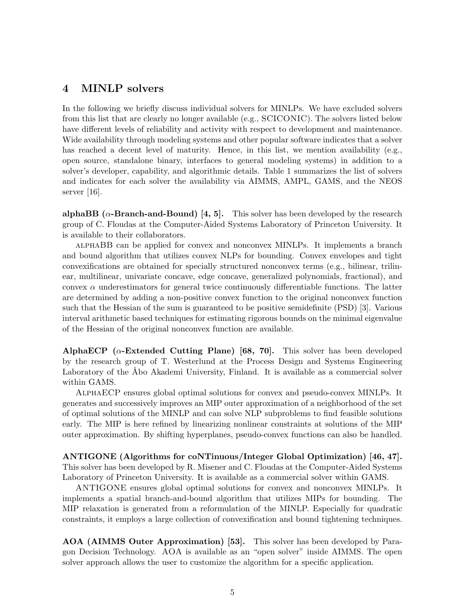## 4 MINLP solvers

In the following we briefly discuss individual solvers for MINLPs. We have excluded solvers from this list that are clearly no longer available (e.g., SCICONIC). The solvers listed below have different levels of reliability and activity with respect to development and maintenance. Wide availability through modeling systems and other popular software indicates that a solver has reached a decent level of maturity. Hence, in this list, we mention availability (e.g., open source, standalone binary, interfaces to general modeling systems) in addition to a solver's developer, capability, and algorithmic details. Table [1](#page-16-0) summarizes the list of solvers and indicates for each solver the availability via AIMMS, AMPL, GAMS, and the NEOS server [\[16\]](#page-12-6).

alphaBB ( $\alpha$ -Branch-and-Bound) [\[4,](#page-11-5) [5\]](#page-11-2). This solver has been developed by the research group of C. Floudas at the Computer-Aided Systems Laboratory of Princeton University. It is available to their collaborators.

alphaBB can be applied for convex and nonconvex MINLPs. It implements a branch and bound algorithm that utilizes convex NLPs for bounding. Convex envelopes and tight convexifications are obtained for specially structured nonconvex terms (e.g., bilinear, trilinear, multilinear, univariate concave, edge concave, generalized polynomials, fractional), and convex  $\alpha$  underestimators for general twice continuously differentiable functions. The latter are determined by adding a non-positive convex function to the original nonconvex function such that the Hessian of the sum is guaranteed to be positive semidefinite (PSD) [\[3\]](#page-11-6). Various interval arithmetic based techniques for estimating rigorous bounds on the minimal eigenvalue of the Hessian of the original nonconvex function are available.

AlphaECP ( $\alpha$ -Extended Cutting Plane) [\[68,](#page-15-4) [70\]](#page-15-0). This solver has been developed by the research group of T. Westerlund at the Process Design and Systems Engineering Laboratory of the Åbo Akademi University, Finland. It is available as a commercial solver within GAMS.

AlphaECP ensures global optimal solutions for convex and pseudo-convex MINLPs. It generates and successively improves an MIP outer approximation of a neighborhood of the set of optimal solutions of the MINLP and can solve NLP subproblems to find feasible solutions early. The MIP is here refined by linearizing nonlinear constraints at solutions of the MIP outer approximation. By shifting hyperplanes, pseudo-convex functions can also be handled.

ANTIGONE (Algorithms for coNTinuous/Integer Global Optimization) [\[46,](#page-14-5) [47\]](#page-14-6). This solver has been developed by R. Misener and C. Floudas at the Computer-Aided Systems Laboratory of Princeton University. It is available as a commercial solver within GAMS.

ANTIGONE ensures global optimal solutions for convex and nonconvex MINLPs. It implements a spatial branch-and-bound algorithm that utilizes MIPs for bounding. The MIP relaxation is generated from a reformulation of the MINLP. Especially for quadratic constraints, it employs a large collection of convexification and bound tightening techniques.

AOA (AIMMS Outer Approximation) [\[53\]](#page-14-3). This solver has been developed by Paragon Decision Technology. AOA is available as an "open solver" inside AIMMS. The open solver approach allows the user to customize the algorithm for a specific application.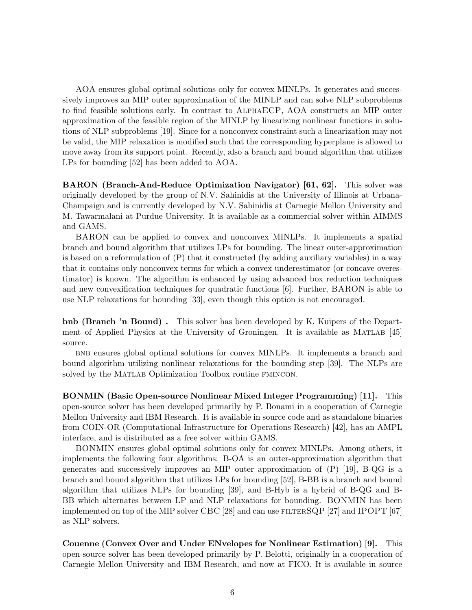AOA ensures global optimal solutions only for convex MINLPs. It generates and successively improves an MIP outer approximation of the MINLP and can solve NLP subproblems to find feasible solutions early. In contrast to AlphaECP, AOA constructs an MIP outer approximation of the feasible region of the MINLP by linearizing nonlinear functions in solutions of NLP subproblems [\[19\]](#page-12-1). Since for a nonconvex constraint such a linearization may not be valid, the MIP relaxation is modified such that the corresponding hyperplane is allowed to move away from its support point. Recently, also a branch and bound algorithm that utilizes LPs for bounding [\[52\]](#page-14-1) has been added to AOA.

BARON (Branch-And-Reduce Optimization Navigator) [\[61,](#page-15-2) [62\]](#page-15-5). This solver was originally developed by the group of N.V. Sahinidis at the University of Illinois at Urbana-Champaign and is currently developed by N.V. Sahinidis at Carnegie Mellon University and M. Tawarmalani at Purdue University. It is available as a commercial solver within AIMMS and GAMS.

BARON can be applied to convex and nonconvex MINLPs. It implements a spatial branch and bound algorithm that utilizes LPs for bounding. The linear outer-approximation is based on a reformulation of [\(P\)](#page-0-0) that it constructed (by adding auxiliary variables) in a way that it contains only nonconvex terms for which a convex underestimator (or concave overestimator) is known. The algorithm is enhanced by using advanced box reduction techniques and new convexification techniques for quadratic functions [\[6\]](#page-11-7). Further, BARON is able to use NLP relaxations for bounding [\[33\]](#page-13-2), even though this option is not encouraged.

bnb (Branch 'n Bound) . This solver has been developed by K. Kuipers of the Department of Applied Physics at the University of Groningen. It is available as  $MATLAB$  [\[45\]](#page-14-7) source.

bnb ensures global optimal solutions for convex MINLPs. It implements a branch and bound algorithm utilizing nonlinear relaxations for the bounding step [\[39\]](#page-13-0). The NLPs are solved by the MATLAB Optimization Toolbox routine FMINCON.

BONMIN (Basic Open-source Nonlinear Mixed Integer Programming) [\[11\]](#page-11-8). This open-source solver has been developed primarily by P. Bonami in a cooperation of Carnegie Mellon University and IBM Research. It is available in source code and as standalone binaries from COIN-OR (Computational Infrastructure for Operations Research) [\[42\]](#page-13-3), has an AMPL interface, and is distributed as a free solver within GAMS.

BONMIN ensures global optimal solutions only for convex MINLPs. Among others, it implements the following four algorithms: B-OA is an outer-approximation algorithm that generates and successively improves an MIP outer approximation of [\(P\)](#page-0-0) [\[19\]](#page-12-1), B-QG is a branch and bound algorithm that utilizes LPs for bounding [\[52\]](#page-14-1), B-BB is a branch and bound algorithm that utilizes NLPs for bounding [\[39\]](#page-13-0), and B-Hyb is a hybrid of B-QG and B-BB which alternates between LP and NLP relaxations for bounding. BONMIN has been implemented on top of the MIP solver CBC [\[28\]](#page-12-7) and can use  $\text{FILTERSQP}$  [\[27\]](#page-12-8) and IPOPT [\[67\]](#page-15-6) as NLP solvers.

Couenne (Convex Over and Under ENvelopes for Nonlinear Estimation) [\[9\]](#page-11-9). This open-source solver has been developed primarily by P. Belotti, originally in a cooperation of Carnegie Mellon University and IBM Research, and now at FICO. It is available in source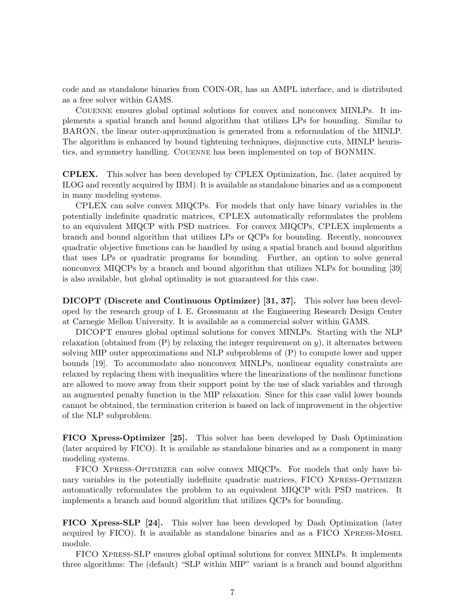code and as standalone binaries from COIN-OR, has an AMPL interface, and is distributed as a free solver within GAMS.

Couenne ensures global optimal solutions for convex and nonconvex MINLPs. It implements a spatial branch and bound algorithm that utilizes LPs for bounding. Similar to BARON, the linear outer-approximation is generated from a reformulation of the MINLP. The algorithm is enhanced by bound tightening techniques, disjunctive cuts, MINLP heuristics, and symmetry handling. Couenne has been implemented on top of BONMIN.

CPLEX. This solver has been developed by CPLEX Optimization, Inc. (later acquired by ILOG and recently acquired by IBM). It is available as standalone binaries and as a component in many modeling systems.

CPLEX can solve convex MIQCPs. For models that only have binary variables in the potentially indefinite quadratic matrices, CPLEX automatically reformulates the problem to an equivalent MIQCP with PSD matrices. For convex MIQCPs, CPLEX implements a branch and bound algorithm that utilizes LPs or QCPs for bounding. Recently, nonconvex quadratic objective functions can be handled by using a spatial branch and bound algorithm that uses LPs or quadratic programs for bounding. Further, an option to solve general nonconvex MIQCPs by a branch and bound algorithm that utilizes NLPs for bounding [\[39\]](#page-13-0) is also available, but global optimality is not guaranteed for this case.

DICOPT (Discrete and Continuous Optimizer) [\[31,](#page-13-1) [37\]](#page-13-4). This solver has been developed by the research group of I. E. Grossmann at the Engineering Research Design Center at Carnegie Mellon University. It is available as a commercial solver within GAMS.

DICOPT ensures global optimal solutions for convex MINLPs. Starting with the NLP relaxation (obtained from  $(P)$  by relaxing the integer requirement on  $y$ ), it alternates between solving MIP outer approximations and NLP subproblems of [\(P\)](#page-0-0) to compute lower and upper bounds [\[19\]](#page-12-1). To accommodate also nonconvex MINLPs, nonlinear equality constraints are relaxed by replacing them with inequalities where the linearizations of the nonlinear functions are allowed to move away from their support point by the use of slack variables and through an augmented penalty function in the MIP relaxation. Since for this case valid lower bounds cannot be obtained, the termination criterion is based on lack of improvement in the objective of the NLP subproblem.

FICO Xpress-Optimizer [\[25\]](#page-12-9). This solver has been developed by Dash Optimization (later acquired by FICO). It is available as standalone binaries and as a component in many modeling systems.

FICO Xpress-Optimizer can solve convex MIQCPs. For models that only have binary variables in the potentially indefinite quadratic matrices, FICO XPRESS-OPTIMIZER automatically reformulates the problem to an equivalent MIQCP with PSD matrices. It implements a branch and bound algorithm that utilizes QCPs for bounding.

FICO Xpress-SLP [\[24\]](#page-12-10). This solver has been developed by Dash Optimization (later acquired by FICO). It is available as standalone binaries and as a FICO Xpress-Mosel module.

FICO Xpress-SLP ensures global optimal solutions for convex MINLPs. It implements three algorithms: The (default) "SLP within MIP" variant is a branch and bound algorithm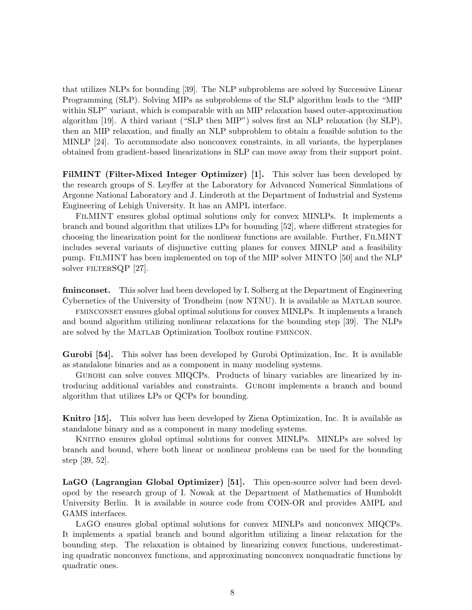that utilizes NLPs for bounding [\[39\]](#page-13-0). The NLP subproblems are solved by Successive Linear Programming (SLP). Solving MIPs as subproblems of the SLP algorithm leads to the "MIP within SLP" variant, which is comparable with an MIP relaxation based outer-approximation algorithm [\[19\]](#page-12-1). A third variant ("SLP then MIP") solves first an NLP relaxation (by SLP), then an MIP relaxation, and finally an NLP subproblem to obtain a feasible solution to the MINLP [\[24\]](#page-12-10). To accommodate also nonconvex constraints, in all variants, the hyperplanes obtained from gradient-based linearizations in SLP can move away from their support point.

FilMINT (Filter-Mixed Integer Optimizer) [\[1\]](#page-10-0). This solver has been developed by the research groups of S. Leyffer at the Laboratory for Advanced Numerical Simulations of Argonne National Laboratory and J. Linderoth at the Department of Industrial and Systems Engineering of Lehigh University. It has an AMPL interface.

FilMINT ensures global optimal solutions only for convex MINLPs. It implements a branch and bound algorithm that utilizes LPs for bounding [\[52\]](#page-14-1), where different strategies for choosing the linearization point for the nonlinear functions are available. Further, FilMINT includes several variants of disjunctive cutting planes for convex MINLP and a feasibility pump. FilMINT has been implemented on top of the MIP solver MINTO [\[50\]](#page-14-8) and the NLP solver FILTERSQP [\[27\]](#page-12-8).

fminconset. This solver had been developed by I. Solberg at the Department of Engineering Cybernetics of the University of Trondheim (now NTNU). It is available as Matlab source.

fminconset ensures global optimal solutions for convex MINLPs. It implements a branch and bound algorithm utilizing nonlinear relaxations for the bounding step [\[39\]](#page-13-0). The NLPs are solved by the Matlab Optimization Toolbox routine fmincon.

Gurobi [\[54\]](#page-14-9). This solver has been developed by Gurobi Optimization, Inc. It is available as standalone binaries and as a component in many modeling systems.

Gurobi can solve convex MIQCPs. Products of binary variables are linearized by introducing additional variables and constraints. Gurobi implements a branch and bound algorithm that utilizes LPs or QCPs for bounding.

Knitro [\[15\]](#page-11-10). This solver has been developed by Ziena Optimization, Inc. It is available as standalone binary and as a component in many modeling systems.

KNITRO ensures global optimal solutions for convex MINLPs. MINLPs are solved by branch and bound, where both linear or nonlinear problems can be used for the bounding step [\[39,](#page-13-0) [52\]](#page-14-1).

LaGO (Lagrangian Global Optimizer) [\[51\]](#page-14-10). This open-source solver had been developed by the research group of I. Nowak at the Department of Mathematics of Humboldt University Berlin. It is available in source code from COIN-OR and provides AMPL and GAMS interfaces.

LaGO ensures global optimal solutions for convex MINLPs and nonconvex MIQCPs. It implements a spatial branch and bound algorithm utilizing a linear relaxation for the bounding step. The relaxation is obtained by linearizing convex functions, underestimating quadratic nonconvex functions, and approximating nonconvex nonquadratic functions by quadratic ones.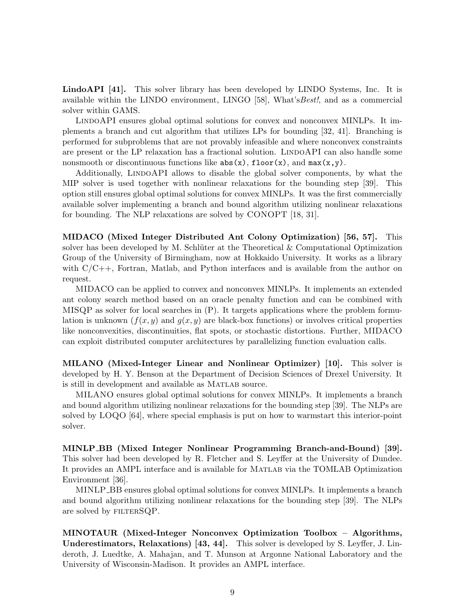LindoAPI [\[41\]](#page-13-5). This solver library has been developed by LINDO Systems, Inc. It is available within the LINDO environment, LINGO [\[58\]](#page-14-4), What'sBest!, and as a commercial solver within GAMS.

LINDOAPI ensures global optimal solutions for convex and nonconvex MINLPs. It implements a branch and cut algorithm that utilizes LPs for bounding [\[32,](#page-13-6) [41\]](#page-13-5). Branching is performed for subproblems that are not provably infeasible and where nonconvex constraints are present or the LP relaxation has a fractional solution. LINDOAPI can also handle some nonsmooth or discontinuous functions like  $abs(x)$ , floor $(x)$ , and  $max(x,y)$ .

Additionally, LINDOAPI allows to disable the global solver components, by what the MIP solver is used together with nonlinear relaxations for the bounding step [\[39\]](#page-13-0). This option still ensures global optimal solutions for convex MINLPs. It was the first commercially available solver implementing a branch and bound algorithm utilizing nonlinear relaxations for bounding. The NLP relaxations are solved by CONOPT [\[18,](#page-12-11) [31\]](#page-13-1).

MIDACO (Mixed Integer Distributed Ant Colony Optimization) [\[56,](#page-14-11) [57\]](#page-14-12). This solver has been developed by M. Schlüter at the Theoretical  $\&$  Computational Optimization Group of the University of Birmingham, now at Hokkaido University. It works as a library with  $C/C++$ , Fortran, Matlab, and Python interfaces and is available from the author on request.

MIDACO can be applied to convex and nonconvex MINLPs. It implements an extended ant colony search method based on an oracle penalty function and can be combined with MISQP as solver for local searches in [\(P\)](#page-0-0). It targets applications where the problem formulation is unknown  $(f(x, y)$  and  $g(x, y)$  are black-box functions) or involves critical properties like nonconvexities, discontinuities, flat spots, or stochastic distortions. Further, MIDACO can exploit distributed computer architectures by parallelizing function evaluation calls.

MILANO (Mixed-Integer Linear and Nonlinear Optimizer) [\[10\]](#page-11-11). This solver is developed by H. Y. Benson at the Department of Decision Sciences of Drexel University. It is still in development and available as MATLAB source.

MILANO ensures global optimal solutions for convex MINLPs. It implements a branch and bound algorithm utilizing nonlinear relaxations for the bounding step [\[39\]](#page-13-0). The NLPs are solved by LOQO [\[64\]](#page-15-7), where special emphasis is put on how to warmstart this interior-point solver.

MINLP BB (Mixed Integer Nonlinear Programming Branch-and-Bound) [\[39\]](#page-13-0). This solver had been developed by R. Fletcher and S. Leyffer at the University of Dundee. It provides an AMPL interface and is available for MATLAB via the TOMLAB Optimization Environment [\[36\]](#page-13-7).

MINLP\_BB ensures global optimal solutions for convex MINLPs. It implements a branch and bound algorithm utilizing nonlinear relaxations for the bounding step [\[39\]](#page-13-0). The NLPs are solved by FILTERSQP.

MINOTAUR (Mixed-Integer Nonconvex Optimization Toolbox – Algorithms, Underestimators, Relaxations) [\[43,](#page-13-8) [44\]](#page-14-13). This solver is developed by S. Leyffer, J. Linderoth, J. Luedtke, A. Mahajan, and T. Munson at Argonne National Laboratory and the University of Wisconsin-Madison. It provides an AMPL interface.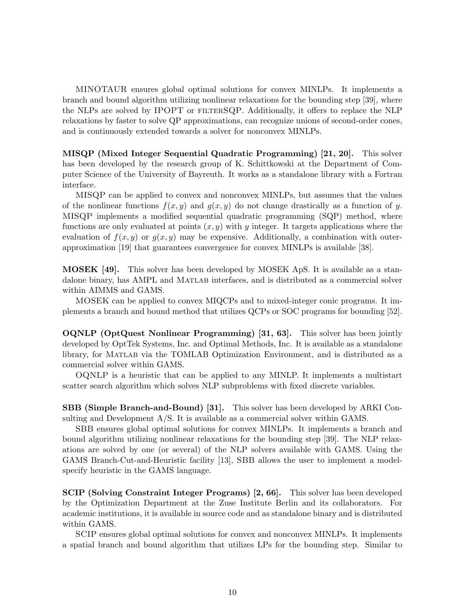MINOTAUR ensures global optimal solutions for convex MINLPs. It implements a branch and bound algorithm utilizing nonlinear relaxations for the bounding step [\[39\]](#page-13-0), where the NLPs are solved by IPOPT or filterSQP. Additionally, it offers to replace the NLP relaxations by faster to solve QP approximations, can recognize unions of second-order cones, and is continuously extended towards a solver for nonconvex MINLPs.

MISQP (Mixed Integer Sequential Quadratic Programming) [\[21,](#page-12-12) [20\]](#page-12-13). This solver has been developed by the research group of K. Schittkowski at the Department of Computer Science of the University of Bayreuth. It works as a standalone library with a Fortran interface.

MISQP can be applied to convex and nonconvex MINLPs, but assumes that the values of the nonlinear functions  $f(x, y)$  and  $g(x, y)$  do not change drastically as a function of y. MISQP implements a modified sequential quadratic programming (SQP) method, where functions are only evaluated at points  $(x, y)$  with y integer. It targets applications where the evaluation of  $f(x, y)$  or  $g(x, y)$  may be expensive. Additionally, a combination with outerapproximation [\[19\]](#page-12-1) that guarantees convergence for convex MINLPs is available [\[38\]](#page-13-9).

MOSEK [\[49\]](#page-14-14). This solver has been developed by MOSEK ApS. It is available as a standalone binary, has AMPL and MATLAB interfaces, and is distributed as a commercial solver within AIMMS and GAMS.

MOSEK can be applied to convex MIQCPs and to mixed-integer conic programs. It implements a branch and bound method that utilizes QCPs or SOC programs for bounding [\[52\]](#page-14-1).

OQNLP (OptQuest Nonlinear Programming) [\[31,](#page-13-1) [63\]](#page-15-8). This solver has been jointly developed by OptTek Systems, Inc. and Optimal Methods, Inc. It is available as a standalone library, for Matlab via the TOMLAB Optimization Environment, and is distributed as a commercial solver within GAMS.

OQNLP is a heuristic that can be applied to any MINLP. It implements a multistart scatter search algorithm which solves NLP subproblems with fixed discrete variables.

SBB (Simple Branch-and-Bound) [\[31\]](#page-13-1). This solver has been developed by ARKI Consulting and Development A/S. It is available as a commercial solver within GAMS.

SBB ensures global optimal solutions for convex MINLPs. It implements a branch and bound algorithm utilizing nonlinear relaxations for the bounding step [\[39\]](#page-13-0). The NLP relaxations are solved by one (or several) of the NLP solvers available with GAMS. Using the GAMS Branch-Cut-and-Heuristic facility [\[13\]](#page-11-4), SBB allows the user to implement a modelspecify heuristic in the GAMS language.

SCIP (Solving Constraint Integer Programs) [\[2,](#page-10-1) [66\]](#page-15-9). This solver has been developed by the Optimization Department at the Zuse Institute Berlin and its collaborators. For academic institutions, it is available in source code and as standalone binary and is distributed within GAMS.

SCIP ensures global optimal solutions for convex and nonconvex MINLPs. It implements a spatial branch and bound algorithm that utilizes LPs for the bounding step. Similar to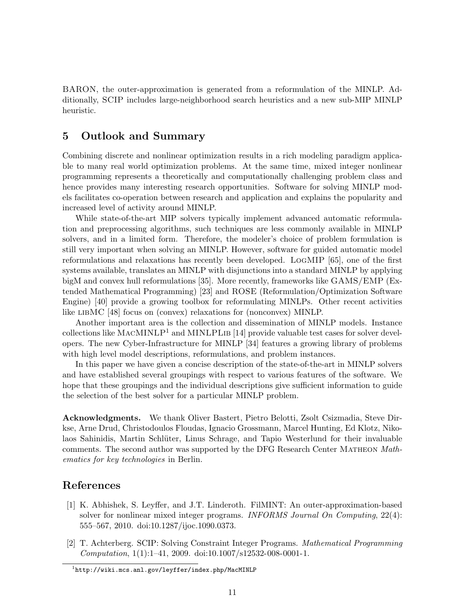BARON, the outer-approximation is generated from a reformulation of the MINLP. Additionally, SCIP includes large-neighborhood search heuristics and a new sub-MIP MINLP heuristic.

### 5 Outlook and Summary

Combining discrete and nonlinear optimization results in a rich modeling paradigm applicable to many real world optimization problems. At the same time, mixed integer nonlinear programming represents a theoretically and computationally challenging problem class and hence provides many interesting research opportunities. Software for solving MINLP models facilitates co-operation between research and application and explains the popularity and increased level of activity around MINLP.

While state-of-the-art MIP solvers typically implement advanced automatic reformulation and preprocessing algorithms, such techniques are less commonly available in MINLP solvers, and in a limited form. Therefore, the modeler's choice of problem formulation is still very important when solving an MINLP. However, software for guided automatic model reformulations and relaxations has recently been developed. LogMIP [\[65\]](#page-15-10), one of the first systems available, translates an MINLP with disjunctions into a standard MINLP by applying bigM and convex hull reformulations [\[35\]](#page-13-10). More recently, frameworks like GAMS/EMP (Extended Mathematical Programming) [\[23\]](#page-12-14) and ROSE (Reformulation/Optimization Software Engine) [\[40\]](#page-13-11) provide a growing toolbox for reformulating MINLPs. Other recent activities like libMC [\[48\]](#page-14-15) focus on (convex) relaxations for (nonconvex) MINLP.

Another important area is the collection and dissemination of MINLP models. Instance collections like  $MACMINLP<sup>1</sup>$  $MACMINLP<sup>1</sup>$  $MACMINLP<sup>1</sup>$  and  $MINLPLIB$  [\[14\]](#page-11-12) provide valuable test cases for solver developers. The new Cyber-Infrastructure for MINLP [\[34\]](#page-13-12) features a growing library of problems with high level model descriptions, reformulations, and problem instances.

In this paper we have given a concise description of the state-of-the-art in MINLP solvers and have established several groupings with respect to various features of the software. We hope that these groupings and the individual descriptions give sufficient information to guide the selection of the best solver for a particular MINLP problem.

Acknowledgments. We thank Oliver Bastert, Pietro Belotti, Zsolt Csizmadia, Steve Dirkse, Arne Drud, Christodoulos Floudas, Ignacio Grossmann, Marcel Hunting, Ed Klotz, Nikolaos Sahinidis, Martin Schlüter, Linus Schrage, and Tapio Westerlund for their invaluable comments. The second author was supported by the DFG Research Center MATHEON Mathematics for key technologies in Berlin.

### References

- <span id="page-10-0"></span>[1] K. Abhishek, S. Leyffer, and J.T. Linderoth. FilMINT: An outer-approximation-based solver for nonlinear mixed integer programs. INFORMS Journal On Computing, 22(4): 555–567, 2010. doi[:10.1287/ijoc.1090.0373.](http://dx.doi.org/10.1287/ijoc.1090.0373)
- <span id="page-10-1"></span>[2] T. Achterberg. SCIP: Solving Constraint Integer Programs. Mathematical Programming Computation, 1(1):1–41, 2009. doi[:10.1007/s12532-008-0001-1.](http://dx.doi.org/10.1007/s12532-008-0001-1)

<span id="page-10-2"></span> $^1$ <http://wiki.mcs.anl.gov/leyffer/index.php/MacMINLP>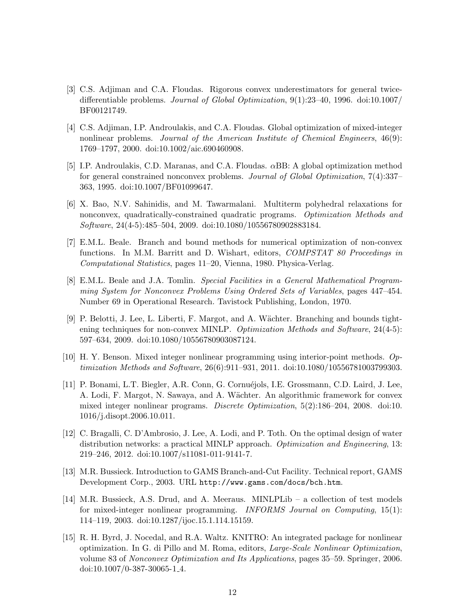- <span id="page-11-6"></span>[3] C.S. Adjiman and C.A. Floudas. Rigorous convex underestimators for general twicedifferentiable problems. Journal of Global Optimization, 9(1):23–40, 1996. doi[:10.1007/](http://dx.doi.org/10.1007/BF00121749) [BF00121749.](http://dx.doi.org/10.1007/BF00121749)
- <span id="page-11-5"></span>[4] C.S. Adjiman, I.P. Androulakis, and C.A. Floudas. Global optimization of mixed-integer nonlinear problems. Journal of the American Institute of Chemical Engineers, 46(9): 1769–1797, 2000. doi[:10.1002/aic.690460908.](http://dx.doi.org/10.1002/aic.690460908)
- <span id="page-11-2"></span>[5] I.P. Androulakis, C.D. Maranas, and C.A. Floudas. αBB: A global optimization method for general constrained nonconvex problems. Journal of Global Optimization, 7(4):337– 363, 1995. doi[:10.1007/BF01099647.](http://dx.doi.org/10.1007/BF01099647)
- <span id="page-11-7"></span>[6] X. Bao, N.V. Sahinidis, and M. Tawarmalani. Multiterm polyhedral relaxations for nonconvex, quadratically-constrained quadratic programs. Optimization Methods and Software, 24(4-5):485–504, 2009. doi[:10.1080/10556780902883184.](http://dx.doi.org/10.1080/10556780902883184)
- <span id="page-11-1"></span>[7] E.M.L. Beale. Branch and bound methods for numerical optimization of non-convex functions. In M.M. Barritt and D. Wishart, editors, *COMPSTAT 80 Proceedings in* Computational Statistics, pages 11–20, Vienna, 1980. Physica-Verlag.
- <span id="page-11-0"></span>[8] E.M.L. Beale and J.A. Tomlin. Special Facilities in a General Mathematical Programming System for Nonconvex Problems Using Ordered Sets of Variables, pages 447–454. Number 69 in Operational Research. Tavistock Publishing, London, 1970.
- <span id="page-11-9"></span>[9] P. Belotti, J. Lee, L. Liberti, F. Margot, and A. W¨achter. Branching and bounds tightening techniques for non-convex MINLP. Optimization Methods and Software, 24(4-5): 597–634, 2009. doi[:10.1080/10556780903087124.](http://dx.doi.org/10.1080/10556780903087124)
- <span id="page-11-11"></span>[10] H. Y. Benson. Mixed integer nonlinear programming using interior-point methods. Optimization Methods and Software, 26(6):911–931, 2011. doi[:10.1080/10556781003799303.](http://dx.doi.org/10.1080/10556781003799303)
- <span id="page-11-8"></span>[11] P. Bonami, L.T. Biegler, A.R. Conn, G. Cornuéjols, I.E. Grossmann, C.D. Laird, J. Lee, A. Lodi, F. Margot, N. Sawaya, and A. Wächter. An algorithmic framework for convex mixed integer nonlinear programs. Discrete Optimization, 5(2):186–204, 2008. doi[:10.](http://dx.doi.org/10.1016/j.disopt.2006.10.011) [1016/j.disopt.2006.10.011.](http://dx.doi.org/10.1016/j.disopt.2006.10.011)
- <span id="page-11-3"></span>[12] C. Bragalli, C. D'Ambrosio, J. Lee, A. Lodi, and P. Toth. On the optimal design of water distribution networks: a practical MINLP approach. *Optimization and Engineering*, 13: 219–246, 2012. doi[:10.1007/s11081-011-9141-7.](http://dx.doi.org/10.1007/s11081-011-9141-7)
- <span id="page-11-4"></span>[13] M.R. Bussieck. Introduction to GAMS Branch-and-Cut Facility. Technical report, GAMS Development Corp., 2003. URL <http://www.gams.com/docs/bch.htm>.
- <span id="page-11-12"></span>[14] M.R. Bussieck, A.S. Drud, and A. Meeraus. MINLPLib – a collection of test models for mixed-integer nonlinear programming. INFORMS Journal on Computing, 15(1): 114–119, 2003. doi[:10.1287/ijoc.15.1.114.15159.](http://dx.doi.org/10.1287/ijoc.15.1.114.15159)
- <span id="page-11-10"></span>[15] R. H. Byrd, J. Nocedal, and R.A. Waltz. KNITRO: An integrated package for nonlinear optimization. In G. di Pillo and M. Roma, editors, Large-Scale Nonlinear Optimization, volume 83 of Nonconvex Optimization and Its Applications, pages 35–59. Springer, 2006. doi[:10.1007/0-387-30065-1](http://dx.doi.org/10.1007/0-387-30065-1_4) 4.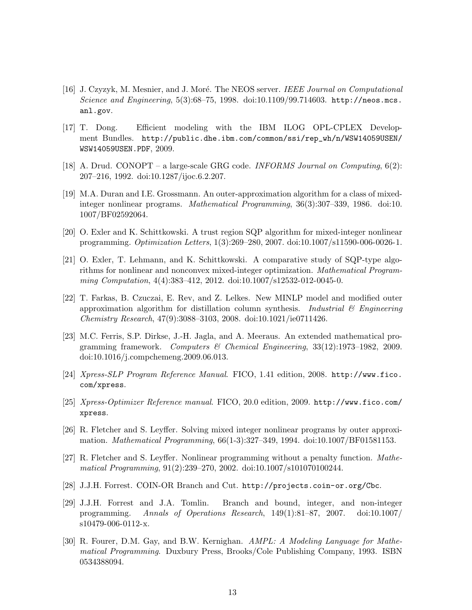- <span id="page-12-6"></span>[16] J. Czyzyk, M. Mesnier, and J. Moré. The NEOS server. IEEE Journal on Computational Science and Engineering, 5(3):68–75, 1998. doi[:10.1109/99.714603.](http://dx.doi.org/10.1109/99.714603) [http://neos.mcs.](http://neos.mcs.anl.gov) [anl.gov](http://neos.mcs.anl.gov).
- <span id="page-12-4"></span>[17] T. Dong. Efficient modeling with the IBM ILOG OPL-CPLEX Development Bundles. [http://public.dhe.ibm.com/common/ssi/rep\\_wh/n/WSW14059USEN/](http://public.dhe.ibm.com/common/ssi/rep_wh/n/WSW14059USEN/WSW14059USEN.PDF) [WSW14059USEN.PDF](http://public.dhe.ibm.com/common/ssi/rep_wh/n/WSW14059USEN/WSW14059USEN.PDF), 2009.
- <span id="page-12-11"></span>[18] A. Drud. CONOPT – a large-scale GRG code. INFORMS Journal on Computing,  $6(2)$ : 207–216, 1992. doi[:10.1287/ijoc.6.2.207.](http://dx.doi.org/10.1287/ijoc.6.2.207)
- <span id="page-12-1"></span>[19] M.A. Duran and I.E. Grossmann. An outer-approximation algorithm for a class of mixedinteger nonlinear programs. Mathematical Programming, 36(3):307–339, 1986. doi[:10.](http://dx.doi.org/10.1007/BF02592064) [1007/BF02592064.](http://dx.doi.org/10.1007/BF02592064)
- <span id="page-12-13"></span>[20] O. Exler and K. Schittkowski. A trust region SQP algorithm for mixed-integer nonlinear programming. Optimization Letters, 1(3):269–280, 2007. doi[:10.1007/s11590-006-0026-1.](http://dx.doi.org/10.1007/s11590-006-0026-1)
- <span id="page-12-12"></span>[21] O. Exler, T. Lehmann, and K. Schittkowski. A comparative study of SQP-type algorithms for nonlinear and nonconvex mixed-integer optimization. Mathematical Program-ming Computation, 4(4):383-412, 2012. doi[:10.1007/s12532-012-0045-0.](http://dx.doi.org/10.1007/s12532-012-0045-0)
- <span id="page-12-2"></span>[22] T. Farkas, B. Czuczai, E. Rev, and Z. Lelkes. New MINLP model and modified outer approximation algorithm for distillation column synthesis. Industrial  $\mathcal{C}$  Engineering Chemistry Research, 47(9):3088–3103, 2008. doi[:10.1021/ie0711426.](http://dx.doi.org/10.1021/ie0711426)
- <span id="page-12-14"></span>[23] M.C. Ferris, S.P. Dirkse, J.-H. Jagla, and A. Meeraus. An extended mathematical programming framework. Computers & Chemical Engineering, 33(12):1973–1982, 2009. doi[:10.1016/j.compchemeng.2009.06.013.](http://dx.doi.org/10.1016/j.compchemeng.2009.06.013)
- <span id="page-12-10"></span>[24] Xpress-SLP Program Reference Manual. FICO, 1.41 edition, 2008. [http://www.fico.](http://www.fico.com/xpress) [com/xpress](http://www.fico.com/xpress).
- <span id="page-12-9"></span>[25] Xpress-Optimizer Reference manual. FICO, 20.0 edition, 2009. [http://www.fico.com/](http://www.fico.com/xpress) [xpress](http://www.fico.com/xpress).
- <span id="page-12-5"></span>[26] R. Fletcher and S. Leyffer. Solving mixed integer nonlinear programs by outer approximation. Mathematical Programming, 66(1-3):327–349, 1994. doi[:10.1007/BF01581153.](http://dx.doi.org/10.1007/BF01581153)
- <span id="page-12-8"></span>[27] R. Fletcher and S. Leyffer. Nonlinear programming without a penalty function. Mathematical Programming, 91(2):239–270, 2002. doi[:10.1007/s101070100244.](http://dx.doi.org/10.1007/s101070100244)
- <span id="page-12-7"></span>[28] J.J.H. Forrest. COIN-OR Branch and Cut. <http://projects.coin-or.org/Cbc>.
- <span id="page-12-0"></span>[29] J.J.H. Forrest and J.A. Tomlin. Branch and bound, integer, and non-integer programming. Annals of Operations Research, 149(1):81–87, 2007. doi[:10.1007/](http://dx.doi.org/10.1007/s10479-006-0112-x) [s10479-006-0112-x.](http://dx.doi.org/10.1007/s10479-006-0112-x)
- <span id="page-12-3"></span>[30] R. Fourer, D.M. Gay, and B.W. Kernighan. AMPL: A Modeling Language for Mathematical Programming. Duxbury Press, Brooks/Cole Publishing Company, 1993. ISBN 0534388094.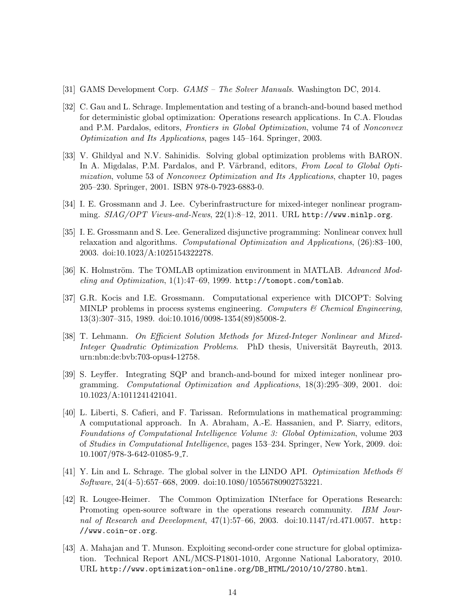- <span id="page-13-1"></span>[31] GAMS Development Corp. GAMS – The Solver Manuals. Washington DC, 2014.
- <span id="page-13-6"></span>[32] C. Gau and L. Schrage. Implementation and testing of a branch-and-bound based method for deterministic global optimization: Operations research applications. In C.A. Floudas and P.M. Pardalos, editors, Frontiers in Global Optimization, volume 74 of Nonconvex Optimization and Its Applications, pages 145–164. Springer, 2003.
- <span id="page-13-2"></span>[33] V. Ghildyal and N.V. Sahinidis. Solving global optimization problems with BARON. In A. Migdalas, P.M. Pardalos, and P. Värbrand, editors, From Local to Global Optimization, volume 53 of Nonconvex Optimization and Its Applications, chapter 10, pages 205–230. Springer, 2001. ISBN 978-0-7923-6883-0.
- <span id="page-13-12"></span>[34] I. E. Grossmann and J. Lee. Cyberinfrastructure for mixed-integer nonlinear programming.  $S I A G / OPT$  Views-and-News, 22(1):8–12, 2011. URL <http://www.minlp.org>.
- <span id="page-13-10"></span>[35] I. E. Grossmann and S. Lee. Generalized disjunctive programming: Nonlinear convex hull relaxation and algorithms. Computational Optimization and Applications, (26):83–100, 2003. doi[:10.1023/A:1025154322278.](http://dx.doi.org/10.1023/A:1025154322278)
- <span id="page-13-7"></span>[36] K. Holmström. The TOMLAB optimization environment in MATLAB. Advanced Modeling and Optimization, 1(1):47–69, 1999. <http://tomopt.com/tomlab>.
- <span id="page-13-4"></span>[37] G.R. Kocis and I.E. Grossmann. Computational experience with DICOPT: Solving MINLP problems in process systems engineering. Computers  $\mathcal C$  Chemical Engineering, 13(3):307–315, 1989. doi[:10.1016/0098-1354\(89\)85008-2.](http://dx.doi.org/10.1016/0098-1354(89)85008-2)
- <span id="page-13-9"></span>[38] T. Lehmann. On Efficient Solution Methods for Mixed-Integer Nonlinear and Mixed-Integer Quadratic Optimization Problems. PhD thesis, Universität Bayreuth, 2013. [urn:nbn:de:bvb:703-opus4-12758.](http://nbn-resolving.de/urn:nbn:de:bvb:703-opus4-12758)
- <span id="page-13-0"></span>[39] S. Leyffer. Integrating SQP and branch-and-bound for mixed integer nonlinear programming. Computational Optimization and Applications, 18(3):295–309, 2001. doi: [10.1023/A:1011241421041.](http://dx.doi.org/10.1023/A:1011241421041)
- <span id="page-13-11"></span>[40] L. Liberti, S. Cafieri, and F. Tarissan. Reformulations in mathematical programming: A computational approach. In A. Abraham, A.-E. Hassanien, and P. Siarry, editors, Foundations of Computational Intelligence Volume 3: Global Optimization, volume 203 of Studies in Computational Intelligence, pages 153–234. Springer, New York, 2009. doi: [10.1007/978-3-642-01085-9](http://dx.doi.org/10.1007/978-3-642-01085-9_7) 7.
- <span id="page-13-5"></span>[41] Y. Lin and L. Schrage. The global solver in the LINDO API. Optimization Methods  $\mathcal{C}$ Software, 24(4–5):657–668, 2009. doi[:10.1080/10556780902753221.](http://dx.doi.org/10.1080/10556780902753221)
- <span id="page-13-3"></span>[42] R. Lougee-Heimer. The Common Optimization INterface for Operations Research: Promoting open-source software in the operations research community. IBM Journal of Research and Development, 47(1):57–66, 2003. doi[:10.1147/rd.471.0057.](http://dx.doi.org/10.1147/rd.471.0057) [http:](http://www.coin-or.org) [//www.coin-or.org](http://www.coin-or.org).
- <span id="page-13-8"></span>[43] A. Mahajan and T. Munson. Exploiting second-order cone structure for global optimization. Technical Report ANL/MCS-P1801-1010, Argonne National Laboratory, 2010. URL [http://www.optimization-online.org/DB\\_HTML/2010/10/2780.html](http://www.optimization-online.org/DB_HTML/2010/10/2780.html).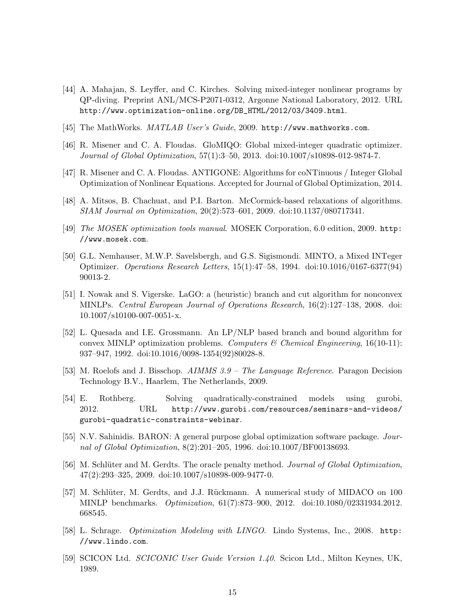- <span id="page-14-13"></span>[44] A. Mahajan, S. Leyffer, and C. Kirches. Solving mixed-integer nonlinear programs by QP-diving. Preprint ANL/MCS-P2071-0312, Argonne National Laboratory, 2012. URL [http://www.optimization-online.org/DB\\_HTML/2012/03/3409.html](http://www.optimization-online.org/DB_HTML/2012/03/3409.html).
- <span id="page-14-7"></span>[45] The MathWorks.  $MATLAB$  User's Guide, 2009. <http://www.mathworks.com>.
- <span id="page-14-5"></span>[46] R. Misener and C. A. Floudas. GloMIQO: Global mixed-integer quadratic optimizer. Journal of Global Optimization, 57(1):3–50, 2013. doi[:10.1007/s10898-012-9874-7.](http://dx.doi.org/10.1007/s10898-012-9874-7)
- <span id="page-14-6"></span>[47] R. Misener and C. A. Floudas. ANTIGONE: Algorithms for coNTinuous / Integer Global Optimization of Nonlinear Equations. Accepted for Journal of Global Optimization, 2014.
- <span id="page-14-15"></span>[48] A. Mitsos, B. Chachuat, and P.I. Barton. McCormick-based relaxations of algorithms. SIAM Journal on Optimization, 20(2):573–601, 2009. doi[:10.1137/080717341.](http://dx.doi.org/10.1137/080717341)
- <span id="page-14-14"></span>[49] The MOSEK optimization tools manual. MOSEK Corporation, 6.0 edition, 2009. [http:](http://www.mosek.com) [//www.mosek.com](http://www.mosek.com).
- <span id="page-14-8"></span>[50] G.L. Nemhauser, M.W.P. Savelsbergh, and G.S. Sigismondi. MINTO, a Mixed INTeger Optimizer. Operations Research Letters, 15(1):47–58, 1994. doi[:10.1016/0167-6377\(94\)](http://dx.doi.org/10.1016/0167-6377(94)90013-2) [90013-2.](http://dx.doi.org/10.1016/0167-6377(94)90013-2)
- <span id="page-14-10"></span>[51] I. Nowak and S. Vigerske. LaGO: a (heuristic) branch and cut algorithm for nonconvex MINLPs. Central European Journal of Operations Research, 16(2):127–138, 2008. doi: [10.1007/s10100-007-0051-x.](http://dx.doi.org/10.1007/s10100-007-0051-x)
- <span id="page-14-1"></span>[52] L. Quesada and I.E. Grossmann. An LP/NLP based branch and bound algorithm for convex MINLP optimization problems. Computers & Chemical Engineering,  $16(10-11)$ : 937–947, 1992. doi[:10.1016/0098-1354\(92\)80028-8.](http://dx.doi.org/10.1016/0098-1354(92)80028-8)
- <span id="page-14-3"></span>[53] M. Roelofs and J. Bisschop. AIMMS 3.9 – The Language Reference. Paragon Decision Technology B.V., Haarlem, The Netherlands, 2009.
- <span id="page-14-9"></span>[54] E. Rothberg. Solving quadratically-constrained models using gurobi, 2012. URL [http://www.gurobi.com/resources/seminars-and-videos/](http://www.gurobi.com/resources/seminars-and-videos/gurobi-quadratic-constraints-webinar) [gurobi-quadratic-constraints-webinar](http://www.gurobi.com/resources/seminars-and-videos/gurobi-quadratic-constraints-webinar).
- <span id="page-14-2"></span>[55] N.V. Sahinidis. BARON: A general purpose global optimization software package. Journal of Global Optimization, 8(2):201–205, 1996. doi[:10.1007/BF00138693.](http://dx.doi.org/10.1007/BF00138693)
- <span id="page-14-11"></span>[56] M. Schlüter and M. Gerdts. The oracle penalty method. Journal of Global Optimization, 47(2):293–325, 2009. doi[:10.1007/s10898-009-9477-0.](http://dx.doi.org/10.1007/s10898-009-9477-0)
- <span id="page-14-12"></span>[57] M. Schlüter, M. Gerdts, and J.J. Rückmann. A numerical study of MIDACO on 100 MINLP benchmarks. Optimization, 61(7):873–900, 2012. doi[:10.1080/02331934.2012.](http://dx.doi.org/10.1080/02331934.2012.668545) [668545.](http://dx.doi.org/10.1080/02331934.2012.668545)
- <span id="page-14-4"></span>[58] L. Schrage. Optimization Modeling with LINGO. Lindo Systems, Inc., 2008. [http:](http://www.lindo.com) [//www.lindo.com](http://www.lindo.com).
- <span id="page-14-0"></span>[59] SCICON Ltd. SCICONIC User Guide Version 1.40. Scicon Ltd., Milton Keynes, UK, 1989.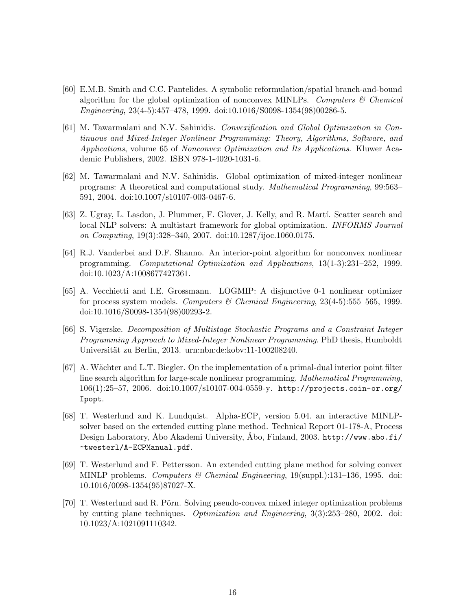- <span id="page-15-1"></span>[60] E.M.B. Smith and C.C. Pantelides. A symbolic reformulation/spatial branch-and-bound algorithm for the global optimization of nonconvex MINLPs. Computers  $\mathcal C$  Chemical Engineering, 23(4-5):457–478, 1999. doi[:10.1016/S0098-1354\(98\)00286-5.](http://dx.doi.org/10.1016/S0098-1354(98)00286-5)
- <span id="page-15-2"></span>[61] M. Tawarmalani and N.V. Sahinidis. Convexification and Global Optimization in Continuous and Mixed-Integer Nonlinear Programming: Theory, Algorithms, Software, and Applications, volume 65 of Nonconvex Optimization and Its Applications. Kluwer Academic Publishers, 2002. ISBN 978-1-4020-1031-6.
- <span id="page-15-5"></span>[62] M. Tawarmalani and N.V. Sahinidis. Global optimization of mixed-integer nonlinear programs: A theoretical and computational study. Mathematical Programming, 99:563– 591, 2004. doi[:10.1007/s10107-003-0467-6.](http://dx.doi.org/10.1007/s10107-003-0467-6)
- <span id="page-15-8"></span>[63] Z. Ugray, L. Lasdon, J. Plummer, F. Glover, J. Kelly, and R. Martí. Scatter search and local NLP solvers: A multistart framework for global optimization. INFORMS Journal on Computing, 19(3):328–340, 2007. doi[:10.1287/ijoc.1060.0175.](http://dx.doi.org/10.1287/ijoc.1060.0175)
- <span id="page-15-7"></span>[64] R.J. Vanderbei and D.F. Shanno. An interior-point algorithm for nonconvex nonlinear programming. Computational Optimization and Applications, 13(1-3):231–252, 1999. doi[:10.1023/A:1008677427361.](http://dx.doi.org/10.1023/A:1008677427361)
- <span id="page-15-10"></span>[65] A. Vecchietti and I.E. Grossmann. LOGMIP: A disjunctive 0-1 nonlinear optimizer for process system models. Computers & Chemical Engineering,  $23(4-5)$ :555–565, 1999. doi[:10.1016/S0098-1354\(98\)00293-2.](http://dx.doi.org/10.1016/S0098-1354(98)00293-2)
- <span id="page-15-9"></span>[66] S. Vigerske. Decomposition of Multistage Stochastic Programs and a Constraint Integer Programming Approach to Mixed-Integer Nonlinear Programming. PhD thesis, Humboldt Universität zu Berlin, 2013. [urn:nbn:de:kobv:11-100208240.](http://nbn-resolving.de/urn:nbn:de:kobv:11-100208240)
- <span id="page-15-6"></span>[67] A. Wächter and L.T. Biegler. On the implementation of a primal-dual interior point filter line search algorithm for large-scale nonlinear programming. Mathematical Programming, 106(1):25–57, 2006. doi[:10.1007/s10107-004-0559-y.](http://dx.doi.org/10.1007/s10107-004-0559-y) [http://projects.coin-or.org/](http://projects.coin-or.org/Ipopt) [Ipopt](http://projects.coin-or.org/Ipopt).
- <span id="page-15-4"></span>[68] T. Westerlund and K. Lundquist. Alpha-ECP, version 5.04. an interactive MINLPsolver based on the extended cutting plane method. Technical Report 01-178-A, Process Design Laboratory, Abo Akademi University, Abo, Finland, 2003. [http://www.abo.fi/](http://www.abo.fi/~twesterl/A-ECPManual.pdf) [~twesterl/A-ECPManual.pdf](http://www.abo.fi/~twesterl/A-ECPManual.pdf).
- <span id="page-15-3"></span>[69] T. Westerlund and F. Pettersson. An extended cutting plane method for solving convex MINLP problems. Computers & Chemical Engineering, 19(suppl.):131–136, 1995. doi: [10.1016/0098-1354\(95\)87027-X.](http://dx.doi.org/10.1016/0098-1354(95)87027-X)
- <span id="page-15-0"></span>[70] T. Westerlund and R. Pörn. Solving pseudo-convex mixed integer optimization problems by cutting plane techniques. Optimization and Engineering, 3(3):253–280, 2002. doi: [10.1023/A:1021091110342.](http://dx.doi.org/10.1023/A:1021091110342)